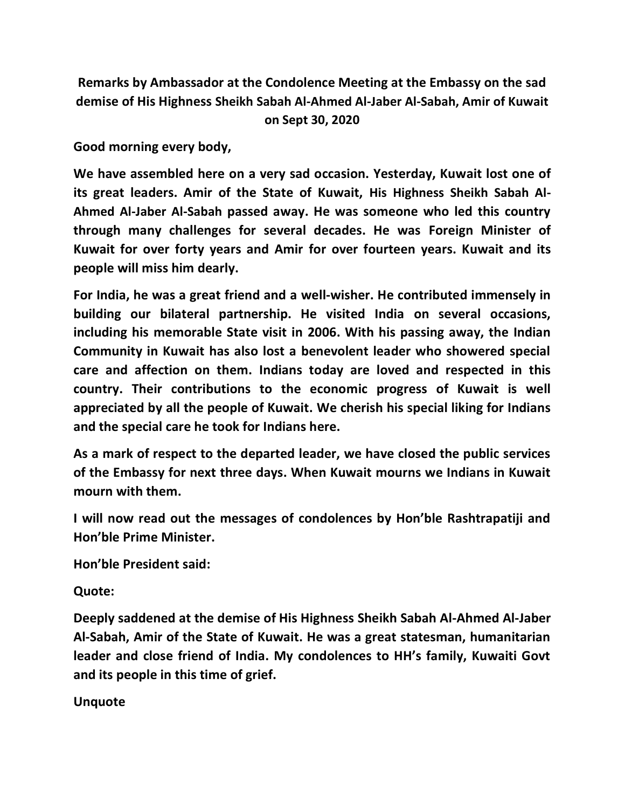**Remarks by Ambassador at the Condolence Meeting at the Embassy on the sad demise of His Highness Sheikh Sabah Al-Ahmed Al-Jaber Al-Sabah, Amir of Kuwait on Sept 30, 2020**

**Good morning every body,**

**We have assembled here on a very sad occasion. Yesterday, Kuwait lost one of its great leaders. Amir of the State of Kuwait, His Highness Sheikh Sabah Al-Ahmed Al-Jaber Al-Sabah passed away. He was someone who led this country through many challenges for several decades. He was Foreign Minister of Kuwait for over forty years and Amir for over fourteen years. Kuwait and its people will miss him dearly.**

**For India, he was a great friend and a well-wisher. He contributed immensely in building our bilateral partnership. He visited India on several occasions, including his memorable State visit in 2006. With his passing away, the Indian Community in Kuwait has also lost a benevolent leader who showered special care and affection on them. Indians today are loved and respected in this country. Their contributions to the economic progress of Kuwait is well appreciated by all the people of Kuwait. We cherish his special liking for Indians and the special care he took for Indians here.**

**As a mark of respect to the departed leader, we have closed the public services of the Embassy for next three days. When Kuwait mourns we Indians in Kuwait mourn with them.** 

**I will now read out the messages of condolences by Hon'ble Rashtrapatiji and Hon'ble Prime Minister.** 

**Hon'ble President said:** 

**Quote:**

**Deeply saddened at the demise of His Highness Sheikh Sabah Al-Ahmed Al-Jaber Al-Sabah, Amir of the State of Kuwait. He was a great statesman, humanitarian leader and close friend of India. My condolences to HH's family, Kuwaiti Govt and its people in this time of grief.** 

**Unquote**